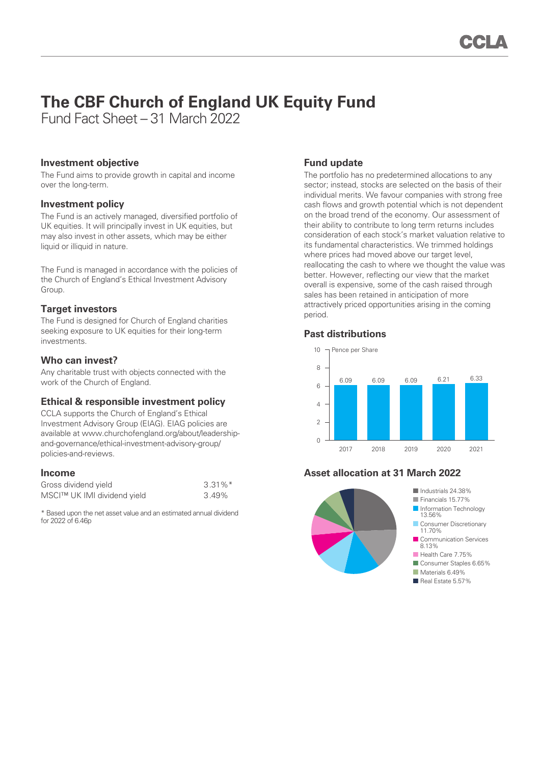# **The CBF Church of England UK Equity Fund**

Fund Fact Sheet – 31 March 2022

### **Investment objective**

The Fund aims to provide growth in capital and income over the long-term.

### **Investment policy**

The Fund is an actively managed, diversified portfolio of UK equities. It will principally invest in UK equities, but may also invest in other assets, which may be either liquid or illiquid in nature.

The Fund is managed in accordance with the policies of the Church of England's Ethical Investment Advisory Group.

## **Target investors**

The Fund is designed for Church of England charities seeking exposure to UK equities for their long-term investments.

### **Who can invest?**

Any charitable trust with objects connected with the work of the Church of England.

## **Ethical & responsible investment policy**

CCLA supports the Church of England's Ethical Investment Advisory Group (EIAG). EIAG policies are available at www.churchofengland.org/about/leadershipand-governance/ethical-investment-advisory-group/ policies-and-reviews.

#### **Income**

| Gross dividend yield        | $3.31\%$ <sup>*</sup> |
|-----------------------------|-----------------------|
| MSCI™ UK IMI dividend yield | 3.49%                 |

\* Based upon the net asset value and an estimated annual dividend for 2022 of 6.46p

## **Fund update**

The portfolio has no predetermined allocations to any sector; instead, stocks are selected on the basis of their individual merits. We favour companies with strong free cash flows and growth potential which is not dependent on the broad trend of the economy. Our assessment of their ability to contribute to long term returns includes consideration of each stock's market valuation relative to its fundamental characteristics. We trimmed holdings where prices had moved above our target level. reallocating the cash to where we thought the value was better. However, reflecting our view that the market overall is expensive, some of the cash raised through sales has been retained in anticipation of more attractively priced opportunities arising in the coming period.

#### **Past distributions**



## **Asset allocation at 31 March 2022**